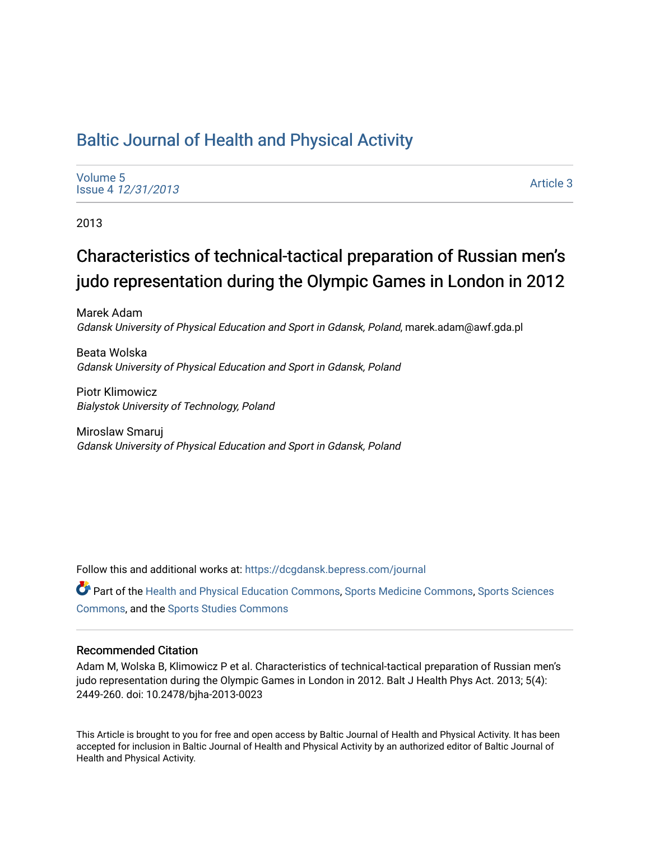## [Baltic Journal of Health and Physical Activity](https://dcgdansk.bepress.com/journal)

[Volume 5](https://dcgdansk.bepress.com/journal/vol5) Issue 4 [12/31/2013](https://dcgdansk.bepress.com/journal/vol5/iss4)

[Article 3](https://dcgdansk.bepress.com/journal/vol5/iss4/3) 

2013

# Characteristics of technical-tactical preparation of Russian men's judo representation during the Olympic Games in London in 2012

Marek Adam Gdansk University of Physical Education and Sport in Gdansk, Poland, marek.adam@awf.gda.pl

Beata Wolska Gdansk University of Physical Education and Sport in Gdansk, Poland

Piotr Klimowicz Bialystok University of Technology, Poland

Miroslaw Smaruj Gdansk University of Physical Education and Sport in Gdansk, Poland

Follow this and additional works at: [https://dcgdansk.bepress.com/journal](https://dcgdansk.bepress.com/journal?utm_source=dcgdansk.bepress.com%2Fjournal%2Fvol5%2Fiss4%2F3&utm_medium=PDF&utm_campaign=PDFCoverPages)

Part of the [Health and Physical Education Commons](http://network.bepress.com/hgg/discipline/1327?utm_source=dcgdansk.bepress.com%2Fjournal%2Fvol5%2Fiss4%2F3&utm_medium=PDF&utm_campaign=PDFCoverPages), [Sports Medicine Commons,](http://network.bepress.com/hgg/discipline/1331?utm_source=dcgdansk.bepress.com%2Fjournal%2Fvol5%2Fiss4%2F3&utm_medium=PDF&utm_campaign=PDFCoverPages) [Sports Sciences](http://network.bepress.com/hgg/discipline/759?utm_source=dcgdansk.bepress.com%2Fjournal%2Fvol5%2Fiss4%2F3&utm_medium=PDF&utm_campaign=PDFCoverPages) [Commons](http://network.bepress.com/hgg/discipline/759?utm_source=dcgdansk.bepress.com%2Fjournal%2Fvol5%2Fiss4%2F3&utm_medium=PDF&utm_campaign=PDFCoverPages), and the [Sports Studies Commons](http://network.bepress.com/hgg/discipline/1198?utm_source=dcgdansk.bepress.com%2Fjournal%2Fvol5%2Fiss4%2F3&utm_medium=PDF&utm_campaign=PDFCoverPages) 

#### Recommended Citation

Adam M, Wolska B, Klimowicz P et al. Characteristics of technical-tactical preparation of Russian men's judo representation during the Olympic Games in London in 2012. Balt J Health Phys Act. 2013; 5(4): 2449-260. doi: 10.2478/bjha-2013-0023

This Article is brought to you for free and open access by Baltic Journal of Health and Physical Activity. It has been accepted for inclusion in Baltic Journal of Health and Physical Activity by an authorized editor of Baltic Journal of Health and Physical Activity.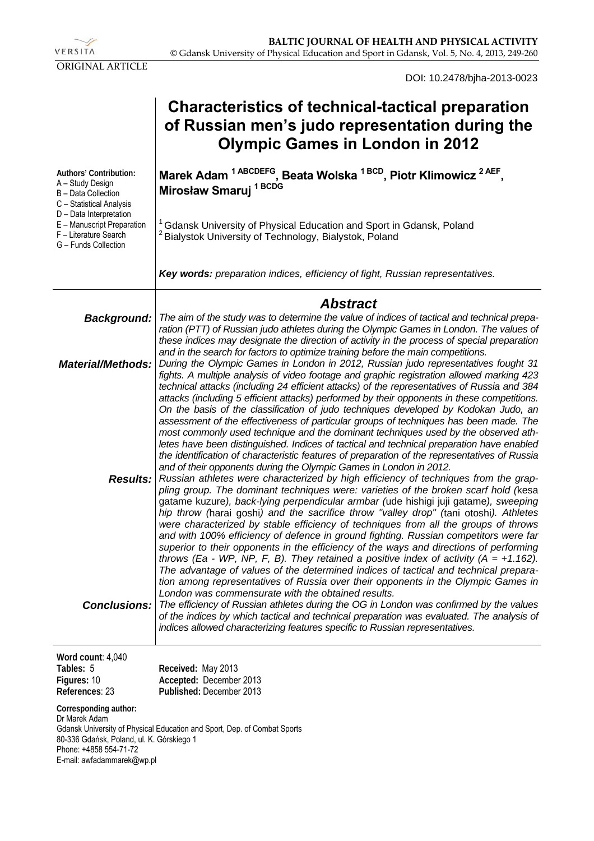

DOI: 10.2478/bjha-2013-0023

| <b>Characteristics of technical-tactical preparation</b> |
|----------------------------------------------------------|
| of Russian men's judo representation during the          |
| <b>Olympic Games in London in 2012</b>                   |

| Authors' Contribution:<br>A - Study Design<br>B - Data Collection<br>C - Statistical Analysis<br>D - Data Interpretation<br>E - Manuscript Preparation<br>F - Literature Search<br>G - Funds Collection | Marek Adam <sup>1ABCDEFG</sup> , Beata Wolska <sup>1BCD</sup> , Piotr Klimowicz <sup>2AEF</sup><br>Mirosław Smaruj <sup>1BCDG</sup><br><sup>1</sup> Gdansk University of Physical Education and Sport in Gdansk, Poland<br><sup>2</sup> Bialystok University of Technology, Bialystok, Poland                                                                                                                                                                                                                                                                                                                                                                                                                                                                                                                                                                                                                                                                                                                                                                                                                                                                                                                                                                                                                                                                                                                                                                                                                                                                                                                                                                                                                                                                                                                                                                                                                                               |  |  |  |  |
|---------------------------------------------------------------------------------------------------------------------------------------------------------------------------------------------------------|---------------------------------------------------------------------------------------------------------------------------------------------------------------------------------------------------------------------------------------------------------------------------------------------------------------------------------------------------------------------------------------------------------------------------------------------------------------------------------------------------------------------------------------------------------------------------------------------------------------------------------------------------------------------------------------------------------------------------------------------------------------------------------------------------------------------------------------------------------------------------------------------------------------------------------------------------------------------------------------------------------------------------------------------------------------------------------------------------------------------------------------------------------------------------------------------------------------------------------------------------------------------------------------------------------------------------------------------------------------------------------------------------------------------------------------------------------------------------------------------------------------------------------------------------------------------------------------------------------------------------------------------------------------------------------------------------------------------------------------------------------------------------------------------------------------------------------------------------------------------------------------------------------------------------------------------|--|--|--|--|
|                                                                                                                                                                                                         | Key words: preparation indices, efficiency of fight, Russian representatives.                                                                                                                                                                                                                                                                                                                                                                                                                                                                                                                                                                                                                                                                                                                                                                                                                                                                                                                                                                                                                                                                                                                                                                                                                                                                                                                                                                                                                                                                                                                                                                                                                                                                                                                                                                                                                                                               |  |  |  |  |
|                                                                                                                                                                                                         | <b>Abstract</b>                                                                                                                                                                                                                                                                                                                                                                                                                                                                                                                                                                                                                                                                                                                                                                                                                                                                                                                                                                                                                                                                                                                                                                                                                                                                                                                                                                                                                                                                                                                                                                                                                                                                                                                                                                                                                                                                                                                             |  |  |  |  |
| <b>Background:</b><br><b>Material/Methods:</b><br><b>Results:</b>                                                                                                                                       | The aim of the study was to determine the value of indices of tactical and technical prepa-<br>ration (PTT) of Russian judo athletes during the Olympic Games in London. The values of<br>these indices may designate the direction of activity in the process of special preparation<br>and in the search for factors to optimize training before the main competitions.<br>During the Olympic Games in London in 2012, Russian judo representatives fought 31<br>fights. A multiple analysis of video footage and graphic registration allowed marking 423<br>technical attacks (including 24 efficient attacks) of the representatives of Russia and 384<br>attacks (including 5 efficient attacks) performed by their opponents in these competitions.<br>On the basis of the classification of judo techniques developed by Kodokan Judo, an<br>assessment of the effectiveness of particular groups of techniques has been made. The<br>most commonly used technique and the dominant techniques used by the observed ath-<br>letes have been distinguished. Indices of tactical and technical preparation have enabled<br>the identification of characteristic features of preparation of the representatives of Russia<br>and of their opponents during the Olympic Games in London in 2012.<br>Russian athletes were characterized by high efficiency of techniques from the grap-<br>pling group. The dominant techniques were: varieties of the broken scarf hold (kesa<br>gatame kuzure), back-lying perpendicular armbar (ude hishigi juji gatame), sweeping<br>hip throw (harai goshi) and the sacrifice throw "valley drop" (tani otoshi). Athletes<br>were characterized by stable efficiency of techniques from all the groups of throws<br>and with 100% efficiency of defence in ground fighting. Russian competitors were far<br>superior to their opponents in the efficiency of the ways and directions of performing |  |  |  |  |
| <b>Conclusions:</b>                                                                                                                                                                                     | throws (Ea - WP, NP, F, B). They retained a positive index of activity ( $A = +1.162$ ).<br>The advantage of values of the determined indices of tactical and technical prepara-<br>tion among representatives of Russia over their opponents in the Olympic Games in<br>London was commensurate with the obtained results.<br>The efficiency of Russian athletes during the OG in London was confirmed by the values<br>of the indices by which tactical and technical preparation was evaluated. The analysis of<br>indices allowed characterizing features specific to Russian representatives.                                                                                                                                                                                                                                                                                                                                                                                                                                                                                                                                                                                                                                                                                                                                                                                                                                                                                                                                                                                                                                                                                                                                                                                                                                                                                                                                          |  |  |  |  |
| Word count: 4,040<br>Tables: 5                                                                                                                                                                          | Received: May 2013                                                                                                                                                                                                                                                                                                                                                                                                                                                                                                                                                                                                                                                                                                                                                                                                                                                                                                                                                                                                                                                                                                                                                                                                                                                                                                                                                                                                                                                                                                                                                                                                                                                                                                                                                                                                                                                                                                                          |  |  |  |  |
| Figures: 10<br>References: 23                                                                                                                                                                           | Accepted: December 2013<br>Published: December 2013                                                                                                                                                                                                                                                                                                                                                                                                                                                                                                                                                                                                                                                                                                                                                                                                                                                                                                                                                                                                                                                                                                                                                                                                                                                                                                                                                                                                                                                                                                                                                                                                                                                                                                                                                                                                                                                                                         |  |  |  |  |

**Corresponding author:**  Dr Marek Adam Gdansk University of Physical Education and Sport, Dep. of Combat Sports 80-336 Gdańsk, Poland, ul. K. Górskiego 1 Phone: +4858 554-71-72 E-mail: awfadammarek@wp.pl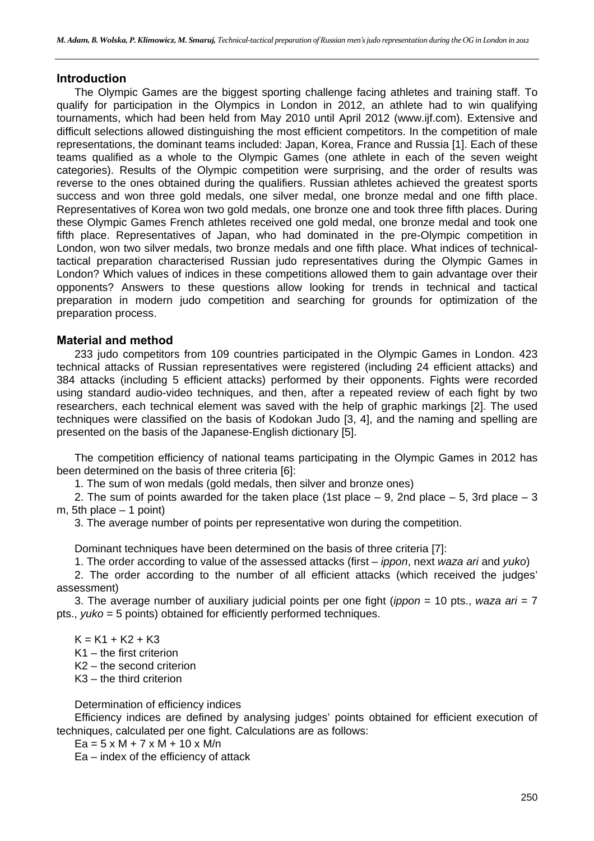#### **Introduction**

The Olympic Games are the biggest sporting challenge facing athletes and training staff. To qualify for participation in the Olympics in London in 2012, an athlete had to win qualifying tournaments, which had been held from May 2010 until April 2012 (www.ijf.com). Extensive and difficult selections allowed distinguishing the most efficient competitors. In the competition of male representations, the dominant teams included: Japan, Korea, France and Russia [1]. Each of these teams qualified as a whole to the Olympic Games (one athlete in each of the seven weight categories). Results of the Olympic competition were surprising, and the order of results was reverse to the ones obtained during the qualifiers. Russian athletes achieved the greatest sports success and won three gold medals, one silver medal, one bronze medal and one fifth place. Representatives of Korea won two gold medals, one bronze one and took three fifth places. During these Olympic Games French athletes received one gold medal, one bronze medal and took one fifth place. Representatives of Japan, who had dominated in the pre-Olympic competition in London, won two silver medals, two bronze medals and one fifth place. What indices of technicaltactical preparation characterised Russian judo representatives during the Olympic Games in London? Which values of indices in these competitions allowed them to gain advantage over their opponents? Answers to these questions allow looking for trends in technical and tactical preparation in modern judo competition and searching for grounds for optimization of the preparation process.

#### **Material and method**

233 judo competitors from 109 countries participated in the Olympic Games in London. 423 technical attacks of Russian representatives were registered (including 24 efficient attacks) and 384 attacks (including 5 efficient attacks) performed by their opponents. Fights were recorded using standard audio-video techniques, and then, after a repeated review of each fight by two researchers, each technical element was saved with the help of graphic markings [2]. The used techniques were classified on the basis of Kodokan Judo [3, 4], and the naming and spelling are presented on the basis of the Japanese-English dictionary [5].

The competition efficiency of national teams participating in the Olympic Games in 2012 has been determined on the basis of three criteria [6]:

1. The sum of won medals (gold medals, then silver and bronze ones)

2. The sum of points awarded for the taken place (1st place  $-$  9, 2nd place  $-$  5, 3rd place  $-$  3 m, 5th place  $-1$  point)

3. The average number of points per representative won during the competition.

Dominant techniques have been determined on the basis of three criteria [7]:

1. The order according to value of the assessed attacks (first – *ippon*, next *waza ari* and *yuko*)

2. The order according to the number of all efficient attacks (which received the judges' assessment)

3. The average number of auxiliary judicial points per one fight (*ippon* = 10 pts., *waza ari* = 7 pts., *yuko* = 5 points) obtained for efficiently performed techniques.

 $K = K1 + K2 + K3$ K1 – the first criterion K2 – the second criterion K3 – the third criterion

Determination of efficiency indices

Efficiency indices are defined by analysing judges' points obtained for efficient execution of techniques, calculated per one fight. Calculations are as follows:

 $Ea = 5 \times M + 7 \times M + 10 \times M/n$ 

Ea – index of the efficiency of attack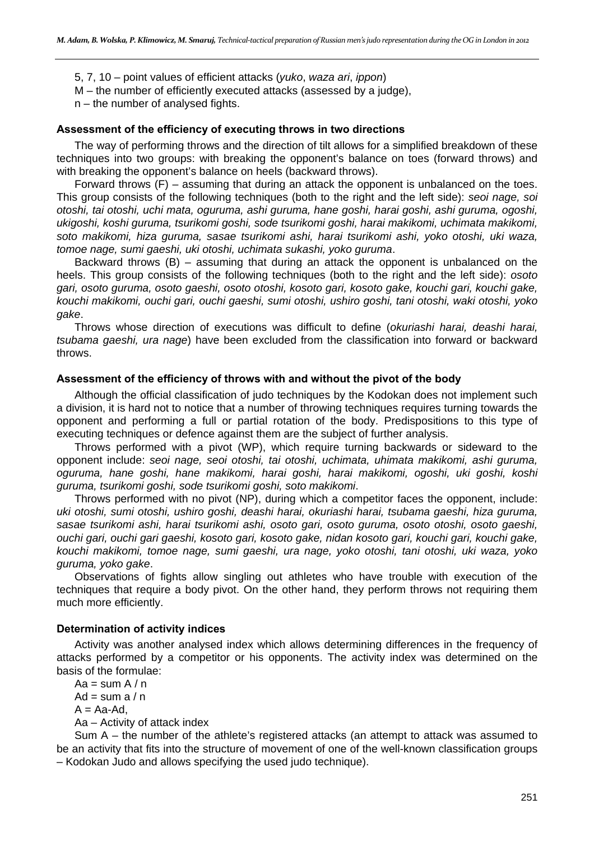5, 7, 10 – point values of efficient attacks (*yuko*, *waza ari*, *ippon*)

M – the number of efficiently executed attacks (assessed by a judge),

n – the number of analysed fights.

#### **Assessment of the efficiency of executing throws in two directions**

The way of performing throws and the direction of tilt allows for a simplified breakdown of these techniques into two groups: with breaking the opponent's balance on toes (forward throws) and with breaking the opponent's balance on heels (backward throws).

Forward throws (F) – assuming that during an attack the opponent is unbalanced on the toes. This group consists of the following techniques (both to the right and the left side): *seoi nage, soi otoshi, tai otoshi, uchi mata, oguruma, ashi guruma, hane goshi, harai goshi, ashi guruma, ogoshi, ukigoshi, koshi guruma, tsurikomi goshi, sode tsurikomi goshi, harai makikomi, uchimata makikomi, soto makikomi, hiza guruma, sasae tsurikomi ashi, harai tsurikomi ashi, yoko otoshi, uki waza, tomoe nage, sumi gaeshi, uki otoshi, uchimata sukashi, yoko guruma*.

Backward throws (B) – assuming that during an attack the opponent is unbalanced on the heels. This group consists of the following techniques (both to the right and the left side): *osoto gari, osoto guruma, osoto gaeshi, osoto otoshi, kosoto gari, kosoto gake, kouchi gari, kouchi gake, kouchi makikomi, ouchi gari, ouchi gaeshi, sumi otoshi, ushiro goshi, tani otoshi, waki otoshi, yoko gake*.

Throws whose direction of executions was difficult to define (*okuriashi harai, deashi harai, tsubama gaeshi, ura nage*) have been excluded from the classification into forward or backward throws.

#### **Assessment of the efficiency of throws with and without the pivot of the body**

Although the official classification of judo techniques by the Kodokan does not implement such a division, it is hard not to notice that a number of throwing techniques requires turning towards the opponent and performing a full or partial rotation of the body. Predispositions to this type of executing techniques or defence against them are the subject of further analysis.

Throws performed with a pivot (WP), which require turning backwards or sideward to the opponent include: *seoi nage, seoi otoshi, tai otoshi, uchimata, uhimata makikomi, ashi guruma, oguruma, hane goshi, hane makikomi, harai goshi, harai makikomi, ogoshi, uki goshi, koshi guruma, tsurikomi goshi, sode tsurikomi goshi, soto makikomi*.

Throws performed with no pivot (NP), during which a competitor faces the opponent, include: *uki otoshi, sumi otoshi, ushiro goshi, deashi harai, okuriashi harai, tsubama gaeshi, hiza guruma, sasae tsurikomi ashi, harai tsurikomi ashi, osoto gari, osoto guruma, osoto otoshi, osoto gaeshi, ouchi gari, ouchi gari gaeshi, kosoto gari, kosoto gake, nidan kosoto gari, kouchi gari, kouchi gake, kouchi makikomi, tomoe nage, sumi gaeshi, ura nage, yoko otoshi, tani otoshi, uki waza, yoko guruma, yoko gake*.

Observations of fights allow singling out athletes who have trouble with execution of the techniques that require a body pivot. On the other hand, they perform throws not requiring them much more efficiently.

#### **Determination of activity indices**

Activity was another analysed index which allows determining differences in the frequency of attacks performed by a competitor or his opponents. The activity index was determined on the basis of the formulae:

 $Aa = sum A/n$ Ad = sum  $a / n$  $A = Aa-Ad$ . Aa – Activity of attack index

Sum A – the number of the athlete's registered attacks (an attempt to attack was assumed to be an activity that fits into the structure of movement of one of the well-known classification groups – Kodokan Judo and allows specifying the used judo technique).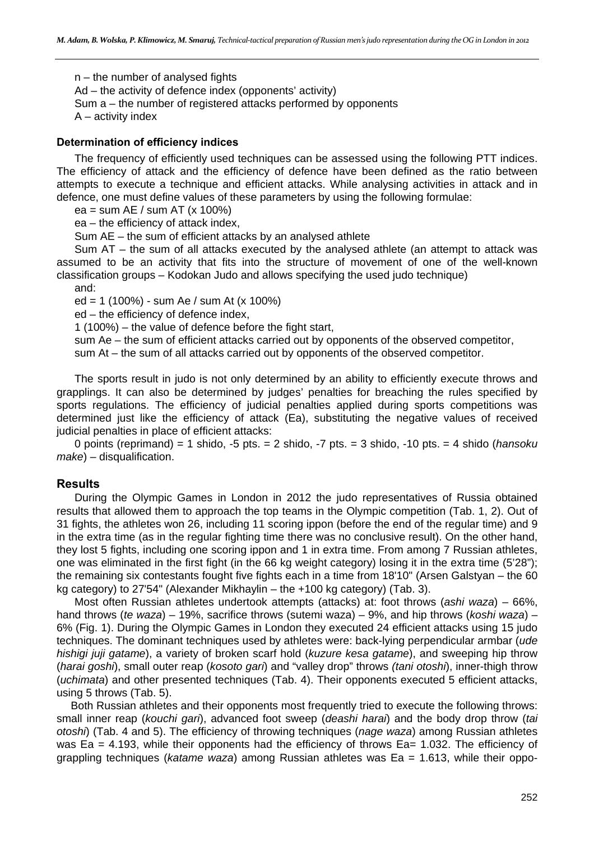n – the number of analysed fights Ad – the activity of defence index (opponents' activity) Sum a – the number of registered attacks performed by opponents A – activity index

#### **Determination of efficiency indices**

The frequency of efficiently used techniques can be assessed using the following PTT indices. The efficiency of attack and the efficiency of defence have been defined as the ratio between attempts to execute a technique and efficient attacks. While analysing activities in attack and in defence, one must define values of these parameters by using the following formulae:

ea = sum AE / sum AT (x 100%)

ea – the efficiency of attack index,

Sum AE – the sum of efficient attacks by an analysed athlete

Sum AT – the sum of all attacks executed by the analysed athlete (an attempt to attack was assumed to be an activity that fits into the structure of movement of one of the well-known classification groups – Kodokan Judo and allows specifying the used judo technique)

and:

ed = 1 (100%) - sum Ae / sum At (x 100%)

ed – the efficiency of defence index,

1 (100%) – the value of defence before the fight start,

sum Ae – the sum of efficient attacks carried out by opponents of the observed competitor,

sum At – the sum of all attacks carried out by opponents of the observed competitor.

The sports result in judo is not only determined by an ability to efficiently execute throws and grapplings. It can also be determined by judges' penalties for breaching the rules specified by sports regulations. The efficiency of judicial penalties applied during sports competitions was determined just like the efficiency of attack (Ea), substituting the negative values of received judicial penalties in place of efficient attacks:

0 points (reprimand) = 1 shido, -5 pts. = 2 shido, -7 pts. = 3 shido, -10 pts. = 4 shido (*hansoku make*) – disqualification.

#### **Results**

During the Olympic Games in London in 2012 the judo representatives of Russia obtained results that allowed them to approach the top teams in the Olympic competition (Tab. 1, 2). Out of 31 fights, the athletes won 26, including 11 scoring ippon (before the end of the regular time) and 9 in the extra time (as in the regular fighting time there was no conclusive result). On the other hand, they lost 5 fights, including one scoring ippon and 1 in extra time. From among 7 Russian athletes, one was eliminated in the first fight (in the 66 kg weight category) losing it in the extra time (5'28"); the remaining six contestants fought five fights each in a time from 18'10" (Arsen Galstyan – the 60 kg category) to 27'54" (Alexander Mikhaylin – the +100 kg category) (Tab. 3).

Most often Russian athletes undertook attempts (attacks) at: foot throws (*ashi waza*) – 66%, hand throws (*te waza*) – 19%, sacrifice throws (sutemi waza) – 9%, and hip throws (*koshi waza*) – 6% (Fig. 1). During the Olympic Games in London they executed 24 efficient attacks using 15 judo techniques. The dominant techniques used by athletes were: back-lying perpendicular armbar (*ude hishigi juji gatame*), a variety of broken scarf hold (*kuzure kesa gatame*), and sweeping hip throw (*harai goshi*), small outer reap (*kosoto gari*) and "valley drop" throws *(tani otoshi*), inner-thigh throw (*uchimata*) and other presented techniques (Tab. 4). Their opponents executed 5 efficient attacks, using 5 throws (Tab. 5).

Both Russian athletes and their opponents most frequently tried to execute the following throws: small inner reap (*kouchi gari*), advanced foot sweep (*deashi harai*) and the body drop throw (*tai otoshi*) (Tab. 4 and 5). The efficiency of throwing techniques (*nage waza*) among Russian athletes was Ea = 4.193, while their opponents had the efficiency of throws Ea= 1.032. The efficiency of grappling techniques (*katame waza*) among Russian athletes was Ea = 1.613, while their oppo-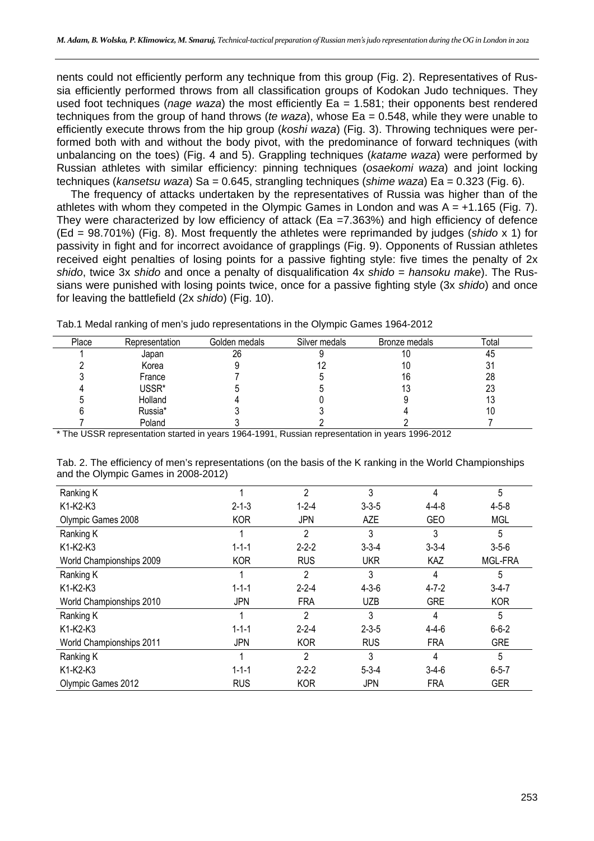nents could not efficiently perform any technique from this group (Fig. 2). Representatives of Russia efficiently performed throws from all classification groups of Kodokan Judo techniques. They used foot techniques (*nage waza*) the most efficiently Ea = 1.581; their opponents best rendered techniques from the group of hand throws (*te waza*), whose Ea = 0.548, while they were unable to efficiently execute throws from the hip group (*koshi waza*) (Fig. 3). Throwing techniques were performed both with and without the body pivot, with the predominance of forward techniques (with unbalancing on the toes) (Fig. 4 and 5). Grappling techniques (*katame waza*) were performed by Russian athletes with similar efficiency: pinning techniques (*osaekomi waza*) and joint locking techniques (*kansetsu waza*) Sa = 0.645, strangling techniques (*shime waza*) Ea = 0.323 (Fig. 6).

The frequency of attacks undertaken by the representatives of Russia was higher than of the athletes with whom they competed in the Olympic Games in London and was  $A = +1.165$  (Fig. 7). They were characterized by low efficiency of attack (Ea =7.363%) and high efficiency of defence (Ed = 98.701%) (Fig. 8). Most frequently the athletes were reprimanded by judges (*shido* x 1) for passivity in fight and for incorrect avoidance of grapplings (Fig. 9). Opponents of Russian athletes received eight penalties of losing points for a passive fighting style: five times the penalty of 2x *shido*, twice 3x *shido* and once a penalty of disqualification 4x *shido* = *hansoku make*). The Russians were punished with losing points twice, once for a passive fighting style (3x *shido*) and once for leaving the battlefield (2x *shido*) (Fig. 10).

| Place | Representation | Golden medals | Silver medals | Bronze medals | Total |
|-------|----------------|---------------|---------------|---------------|-------|
|       | Japan          | 26            |               | ١U            | 45    |
|       | Korea          |               |               | 10            |       |
|       | France         |               |               | 16            | 28    |
|       | USSR*          |               |               |               | 23    |
|       | Holland        |               |               |               | 15    |
|       | Russia*        |               |               |               | ΊU    |
|       | Poland         |               |               |               |       |

Tab.1 Medal ranking of men's judo representations in the Olympic Games 1964-2012

\* The USSR representation started in years 1964-1991, Russian representation in years 1996-2012

| Tab. 2. The efficiency of men's representations (on the basis of the K ranking in the World Championships |  |  |
|-----------------------------------------------------------------------------------------------------------|--|--|
| and the Olympic Games in 2008-2012)                                                                       |  |  |

| Ranking K                |             | $\mathfrak{p}$ | 3           | 4           | 5           |
|--------------------------|-------------|----------------|-------------|-------------|-------------|
| K1-K2-K3                 | $2 - 1 - 3$ | $1 - 2 - 4$    | $3 - 3 - 5$ | $4 - 4 - 8$ | $4 - 5 - 8$ |
| Olympic Games 2008       | <b>KOR</b>  | JPN            | AZE         | <b>GEO</b>  | <b>MGL</b>  |
| Ranking K                |             | 2              | 3           | 3           | 5           |
| K1-K2-K3                 | $1 - 1 - 1$ | $2 - 2 - 2$    | $3 - 3 - 4$ | $3 - 3 - 4$ | $3 - 5 - 6$ |
| World Championships 2009 | <b>KOR</b>  | <b>RUS</b>     | <b>UKR</b>  | KAZ         | MGL-FRA     |
| Ranking K                |             | 2              | 3           | 4           | 5           |
| K1-K2-K3                 | $1 - 1 - 1$ | $2 - 2 - 4$    | $4 - 3 - 6$ | $4 - 7 - 2$ | $3-4-7$     |
| World Championships 2010 | <b>JPN</b>  | <b>FRA</b>     | <b>UZB</b>  | <b>GRE</b>  | <b>KOR</b>  |
| Ranking K                |             | $\mathfrak{p}$ | 3           | 4           | 5           |
| K1-K2-K3                 | $1 - 1 - 1$ | $2 - 2 - 4$    | $2 - 3 - 5$ | $4 - 4 - 6$ | $6 - 6 - 2$ |
| World Championships 2011 | <b>JPN</b>  | <b>KOR</b>     | <b>RUS</b>  | <b>FRA</b>  | <b>GRE</b>  |
| Ranking K                |             | $\mathfrak{p}$ | 3           | 4           | 5           |
| K1-K2-K3                 | $1 - 1 - 1$ | $2 - 2 - 2$    | $5 - 3 - 4$ | $3-4-6$     | $6 - 5 - 7$ |
| Olympic Games 2012       | <b>RUS</b>  | <b>KOR</b>     | JPN         | <b>FRA</b>  | <b>GER</b>  |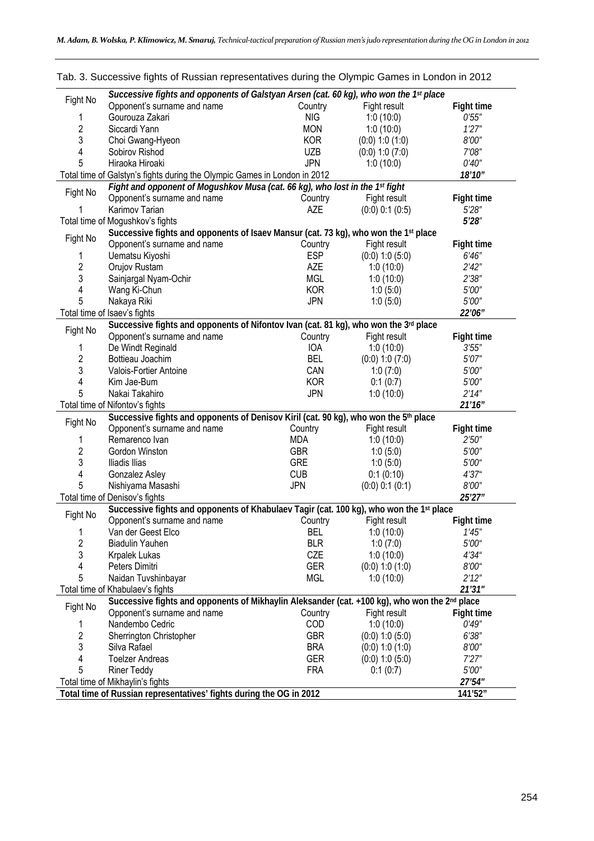| Fight No | Successive fights and opponents of Galstyan Arsen (cat. 60 kg), who won the 1st place                     |            |                     |                   |
|----------|-----------------------------------------------------------------------------------------------------------|------------|---------------------|-------------------|
|          | Opponent's surname and name                                                                               | Country    | Fight result        | <b>Fight time</b> |
| 1        | Gourouza Zakari                                                                                           | <b>NIG</b> | 1:0(10:0)           | 0'55''            |
| 2        | Siccardi Yann                                                                                             | <b>MON</b> | 1:0(10:0)           | 1'27''            |
| 3        | Choi Gwang-Hyeon                                                                                          | <b>KOR</b> | $(0.0)$ 1:0 $(1.0)$ | 8'00"             |
| 4        | Sobirov Rishod                                                                                            | <b>UZB</b> | $(0:0)$ 1:0 $(7:0)$ | 7'08"             |
| 5        | Hiraoka Hiroaki                                                                                           | <b>JPN</b> | 1:0(10:0)           | 0'40''            |
|          | Total time of Galstyn's fights during the Olympic Games in London in 2012                                 |            |                     | 18'10"            |
|          | Fight and opponent of Mogushkov Musa (cat. 66 kg), who lost in the 1st fight                              |            |                     |                   |
| Fight No | Opponent's surname and name                                                                               | Country    | Fight result        | <b>Fight time</b> |
| 1        | Karimov Tarian                                                                                            | <b>AZE</b> | $(0:0)$ 0:1 $(0:5)$ | 5'28''            |
|          | Total time of Mogushkov's fights                                                                          |            |                     | 5'28''            |
|          | Successive fights and opponents of Isaev Mansur (cat. 73 kg), who won the 1 <sup>st</sup> place           |            |                     |                   |
| Fight No | Opponent's surname and name                                                                               | Country    | Fight result        | <b>Fight time</b> |
| 1        | Uematsu Kiyoshi                                                                                           | <b>ESP</b> | $(0:0)$ 1:0 $(5:0)$ | 6'46''            |
| 2        | Orujov Rustam                                                                                             | <b>AZE</b> | 1:0(10:0)           | 2'42''            |
| 3        | Sainjargal Nyam-Ochir                                                                                     | <b>MGL</b> | 1:0(10:0)           | 2'38''            |
| 4        |                                                                                                           | <b>KOR</b> |                     | 5'00"             |
| 5        | Wang Ki-Chun                                                                                              |            | 1:0(5:0)            |                   |
|          | Nakaya Riki                                                                                               | <b>JPN</b> | 1:0(5:0)            | 5'00"             |
|          | Total time of Isaev's fights                                                                              |            |                     | 22'06"            |
| Fight No | Successive fights and opponents of Nifontov Ivan (cat. 81 kg), who won the 3rd place                      |            |                     |                   |
|          | Opponent's surname and name                                                                               | Country    | Fight result        | Fight time        |
| 1        | De Windt Reginald                                                                                         | <b>IOA</b> | 1:0(10:0)           | 3'55''            |
| 2        | Bottieau Joachim                                                                                          | <b>BEL</b> | $(0:0)$ 1:0 $(7:0)$ | 5'07"             |
| 3        | Valois-Fortier Antoine                                                                                    | CAN        | 1:0(7:0)            | 5'00"             |
| 4        | Kim Jae-Bum                                                                                               | <b>KOR</b> | 0:1(0:7)            | 5'00"             |
| 5        | Nakai Takahiro                                                                                            | <b>JPN</b> | 1:0(10:0)           | 2'14''            |
|          | Total time of Nifontov's fights                                                                           |            |                     | 21'16''           |
|          | Successive fights and opponents of Denisov Kiril (cat. 90 kg), who won the 5th place                      |            |                     |                   |
| Fight No | Opponent's surname and name                                                                               | Country    | Fight result        | <b>Fight time</b> |
| 1        | Remarenco Ivan                                                                                            | MDA        | 1:0(10:0)           | 2'50''            |
| 2        | Gordon Winston                                                                                            | <b>GBR</b> | 1:0(5:0)            | 5'00"             |
| 3        | Iliadis Ilias                                                                                             | <b>GRE</b> | 1:0(5:0)            | 5'00"             |
| 4        | Gonzalez Asley                                                                                            | <b>CUB</b> | 0:1(0:10)           | 4'37''            |
| 5        | Nishiyama Masashi                                                                                         | <b>JPN</b> | $(0:0)$ 0:1 $(0:1)$ | 8'00"             |
|          | Total time of Denisov's fights                                                                            |            |                     | 25'27"            |
|          |                                                                                                           |            |                     |                   |
| Fight No | Successive fights and opponents of Khabulaev Tagir (cat. 100 kg), who won the 1st place                   |            |                     |                   |
|          | Opponent's surname and name                                                                               | Country    | Fight result        | Fight time        |
| 1        | Van der Geest Elco                                                                                        | <b>BEL</b> | 1:0(10:0)           | 1'45''            |
| 2        | <b>Biadulin Yauhen</b>                                                                                    | <b>BLR</b> | 1:0(7:0)            | 5'00"             |
| 3        | Krpalek Lukas                                                                                             | CZE        | 1:0(10:0)           | 4'34''            |
| 4        | Peters Dimitri                                                                                            | <b>GER</b> | $(0:0)$ 1:0 $(1:0)$ | 8'00"             |
| 5        | Naidan Tuvshinbayar                                                                                       | <b>MGL</b> | 1:0(10:0)           | 2'12''            |
|          | Total time of Khabulaev's fights                                                                          |            |                     | 21'31''           |
|          | Successive fights and opponents of Mikhaylin Aleksander (cat. +100 kg), who won the 2 <sup>nd</sup> place |            |                     |                   |
| Fight No | Opponent's surname and name                                                                               | Country    | Fight result        | <b>Fight time</b> |
| 1        | Nandembo Cedric                                                                                           | COD        | 1:0(10:0)           | 0'49''            |
| 2        | Sherrington Christopher                                                                                   | <b>GBR</b> | $(0:0)$ 1:0 $(5:0)$ | 6'38''            |
| 3        | Silva Rafael                                                                                              | <b>BRA</b> | $(0:0)$ 1:0 $(1:0)$ | 8'00"             |
| 4        | <b>Toelzer Andreas</b>                                                                                    | <b>GER</b> | $(0:0)$ 1:0 $(5:0)$ | 7'27''            |
| 5        | <b>Riner Teddy</b>                                                                                        | <b>FRA</b> | 0:1(0:7)            | 5'00"             |
|          | Total time of Mikhaylin's fights                                                                          |            |                     | 27'54"            |
|          | Total time of Russian representatives' fights during the OG in 2012                                       |            |                     | 141'52"           |
|          |                                                                                                           |            |                     |                   |

|  | Tab. 3. Successive fights of Russian representatives during the Olympic Games in London in 2012 |  |  |
|--|-------------------------------------------------------------------------------------------------|--|--|
|  |                                                                                                 |  |  |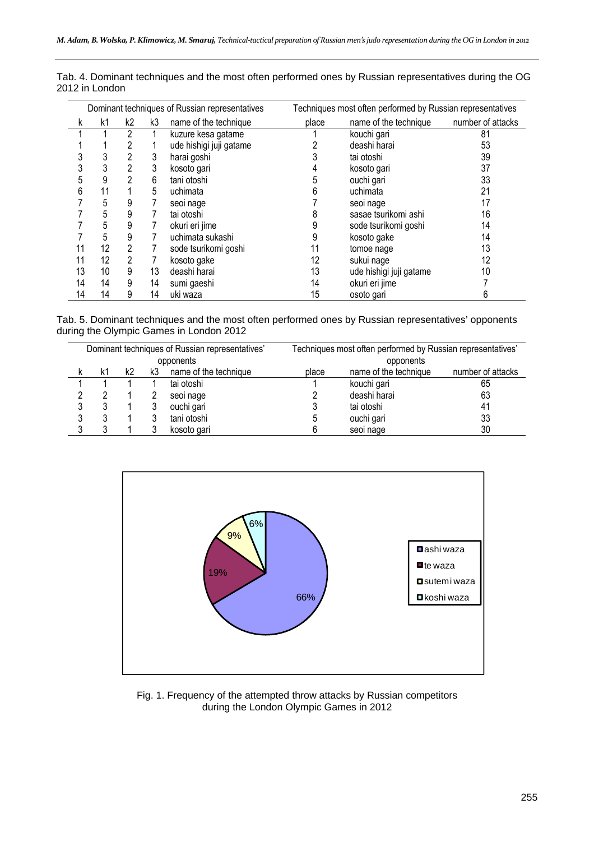|    |    |    |    | Dominant techniques of Russian representatives |       | Techniques most often performed by Russian representatives |                   |
|----|----|----|----|------------------------------------------------|-------|------------------------------------------------------------|-------------------|
| k  | k1 | k2 | k3 | name of the technique                          | place | name of the technique                                      | number of attacks |
|    |    | 2  |    | kuzure kesa gatame                             |       | kouchi gari                                                | 81                |
|    |    |    |    | ude hishigi juji gatame                        |       | deashi harai                                               | 53                |
| 3  | 3  | 2  | 3  | harai goshi                                    |       | tai otoshi                                                 | 39                |
| 3  | 3  | 2  | 3  | kosoto gari                                    |       | kosoto gari                                                | 37                |
| 5  | 9  | 2  | 6  | tani otoshi                                    | 5     | ouchi gari                                                 | 33                |
| 6  | 11 |    | 5  | uchimata                                       | 6     | uchimata                                                   | 21                |
|    | 5  | 9  |    | seoi nage                                      |       | seoi nage                                                  | 17                |
|    | 5  | 9  |    | tai otoshi                                     |       | sasae tsurikomi ashi                                       | 16                |
|    | 5  | 9  |    | okuri eri jime                                 |       | sode tsurikomi goshi                                       | 14                |
|    | 5  | 9  |    | uchimata sukashi                               | 9     | kosoto gake                                                | 14                |
|    | 12 | 2  |    | sode tsurikomi goshi                           |       | tomoe nage                                                 | 13                |
| 11 | 12 | 2  |    | kosoto gake                                    | 12    | sukui nage                                                 | 12                |
| 13 | 10 | 9  | 13 | deashi harai                                   | 13    | ude hishigi juji gatame                                    | 10                |
| 14 | 14 | 9  | 14 | sumi gaeshi                                    | 14    | okuri eri jime                                             |                   |
| 14 | 14 | 9  | 14 | uki waza                                       | 15    | osoto gari                                                 | 6                 |

Tab. 4. Dominant techniques and the most often performed ones by Russian representatives during the OG 2012 in London

Tab. 5. Dominant techniques and the most often performed ones by Russian representatives' opponents during the Olympic Games in London 2012

|    |    |    | Dominant techniques of Russian representatives' | Techniques most often performed by Russian representatives' |                       |                   |
|----|----|----|-------------------------------------------------|-------------------------------------------------------------|-----------------------|-------------------|
|    |    |    | opponents                                       |                                                             | opponents             |                   |
| k1 | k2 | k3 | name of the technique                           | place                                                       | name of the technique | number of attacks |
|    |    |    | tai otoshi                                      |                                                             | kouchi gari           | 65                |
|    |    |    | seoi nage                                       |                                                             | deashi harai          | 63                |
|    |    |    | ouchi gari                                      |                                                             | tai otoshi            | 41                |
|    |    |    | tani otoshi                                     | C                                                           | ouchi gari            | 33                |
|    |    |    | kosoto gari                                     |                                                             | seoi nage             | 30                |



Fig. 1. Frequency of the attempted throw attacks by Russian competitors during the London Olympic Games in 2012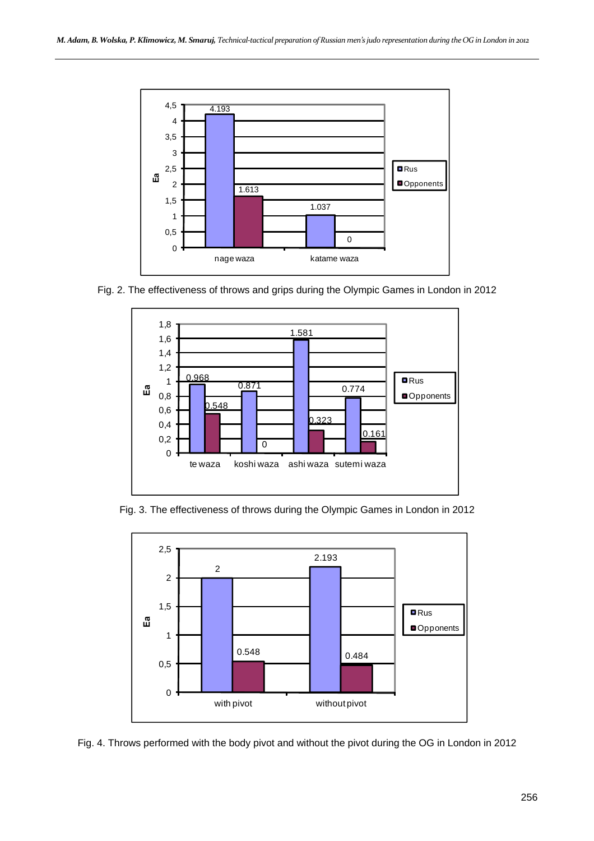

Fig. 2. The effectiveness of throws and grips during the Olympic Games in London in 2012



Fig. 3. The effectiveness of throws during the Olympic Games in London in 2012



Fig. 4. Throws performed with the body pivot and without the pivot during the OG in London in 2012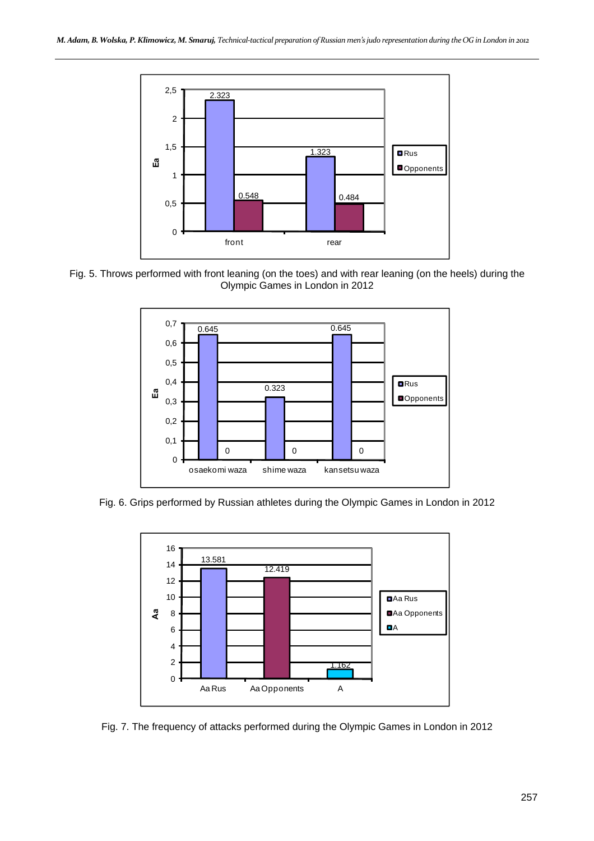





Fig. 6. Grips performed by Russian athletes during the Olympic Games in London in 2012



Fig. 7. The frequency of attacks performed during the Olympic Games in London in 2012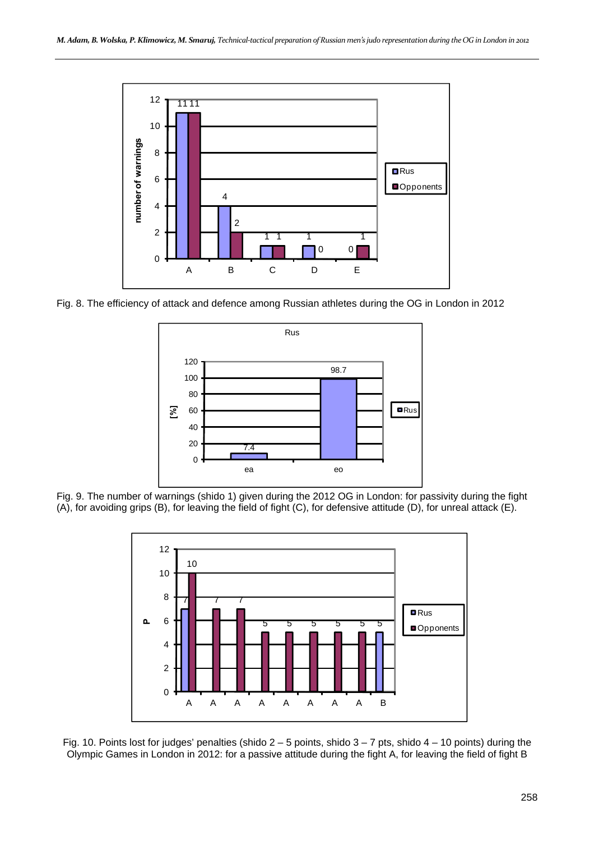

Fig. 8. The efficiency of attack and defence among Russian athletes during the OG in London in 2012



Fig. 9. The number of warnings (shido 1) given during the 2012 OG in London: for passivity during the fight (A), for avoiding grips (B), for leaving the field of fight (C), for defensive attitude (D), for unreal attack (E).



Fig. 10. Points lost for judges' penalties (shido  $2 - 5$  points, shido  $3 - 7$  pts, shido  $4 - 10$  points) during the Olympic Games in London in 2012: for a passive attitude during the fight A, for leaving the field of fight B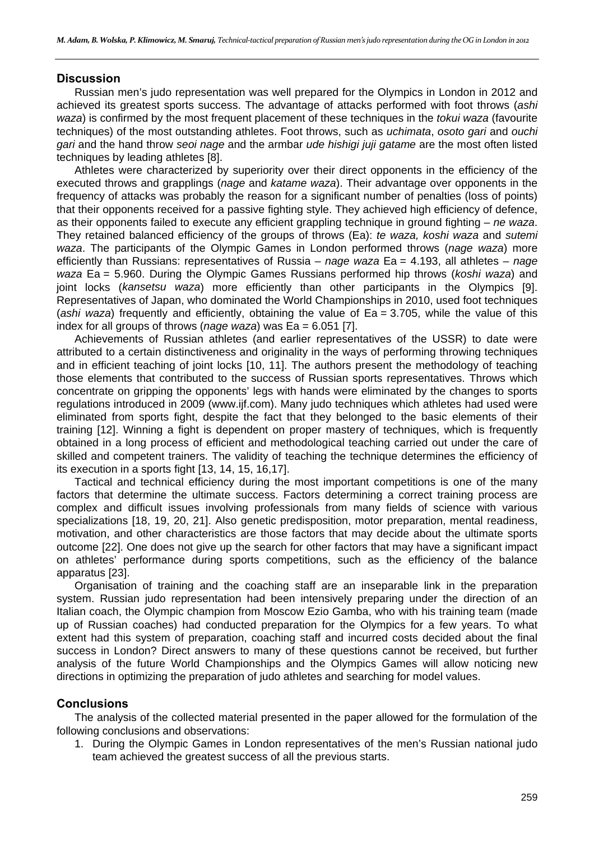#### **Discussion**

Russian men's judo representation was well prepared for the Olympics in London in 2012 and achieved its greatest sports success. The advantage of attacks performed with foot throws (*ashi waza*) is confirmed by the most frequent placement of these techniques in the *tokui waza* (favourite techniques) of the most outstanding athletes. Foot throws, such as *uchimata*, *osoto gari* and *ouchi gari* and the hand throw *seoi nage* and the armbar *ude hishigi juji gatame* are the most often listed techniques by leading athletes [8].

Athletes were characterized by superiority over their direct opponents in the efficiency of the executed throws and grapplings (*nage* and *katame waza*). Their advantage over opponents in the frequency of attacks was probably the reason for a significant number of penalties (loss of points) that their opponents received for a passive fighting style. They achieved high efficiency of defence, as their opponents failed to execute any efficient grappling technique in ground fighting – *ne waza*. They retained balanced efficiency of the groups of throws (Ea): *te waza, koshi waza* and *sutemi waza*. The participants of the Olympic Games in London performed throws (*nage waza*) more efficiently than Russians: representatives of Russia – *nage waza* Ea = 4.193, all athletes – *nage waza* Ea = 5.960. During the Olympic Games Russians performed hip throws (*koshi waza*) and joint locks (*kansetsu waza*) more efficiently than other participants in the Olympics [9]. Representatives of Japan, who dominated the World Championships in 2010, used foot techniques (*ashi waza*) frequently and efficiently, obtaining the value of Ea = 3.705, while the value of this index for all groups of throws (*nage waza*) was Ea = 6.051 [7].

Achievements of Russian athletes (and earlier representatives of the USSR) to date were attributed to a certain distinctiveness and originality in the ways of performing throwing techniques and in efficient teaching of joint locks [10, 11]. The authors present the methodology of teaching those elements that contributed to the success of Russian sports representatives. Throws which concentrate on gripping the opponents' legs with hands were eliminated by the changes to sports regulations introduced in 2009 (www.ijf.com). Many judo techniques which athletes had used were eliminated from sports fight, despite the fact that they belonged to the basic elements of their training [12]. Winning a fight is dependent on proper mastery of techniques, which is frequently obtained in a long process of efficient and methodological teaching carried out under the care of skilled and competent trainers. The validity of teaching the technique determines the efficiency of its execution in a sports fight [13, 14, 15, 16,17].

Tactical and technical efficiency during the most important competitions is one of the many factors that determine the ultimate success. Factors determining a correct training process are complex and difficult issues involving professionals from many fields of science with various specializations [18, 19, 20, 21]. Also genetic predisposition, motor preparation, mental readiness, motivation, and other characteristics are those factors that may decide about the ultimate sports outcome [22]. One does not give up the search for other factors that may have a significant impact on athletes' performance during sports competitions, such as the efficiency of the balance apparatus [23].

Organisation of training and the coaching staff are an inseparable link in the preparation system. Russian judo representation had been intensively preparing under the direction of an Italian coach, the Olympic champion from Moscow Ezio Gamba, who with his training team (made up of Russian coaches) had conducted preparation for the Olympics for a few years. To what extent had this system of preparation, coaching staff and incurred costs decided about the final success in London? Direct answers to many of these questions cannot be received, but further analysis of the future World Championships and the Olympics Games will allow noticing new directions in optimizing the preparation of judo athletes and searching for model values.

#### **Conclusions**

The analysis of the collected material presented in the paper allowed for the formulation of the following conclusions and observations:

1. During the Olympic Games in London representatives of the men's Russian national judo team achieved the greatest success of all the previous starts.